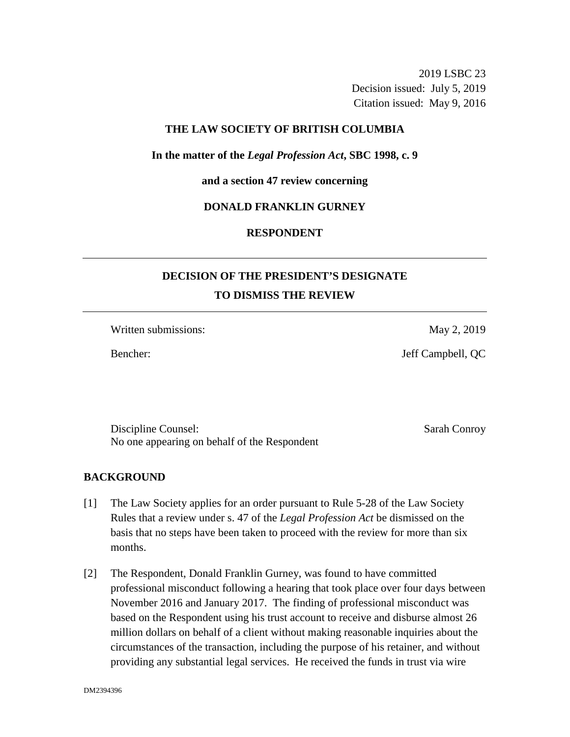2019 LSBC 23 Decision issued: July 5, 2019 Citation issued: May 9, 2016

#### **THE LAW SOCIETY OF BRITISH COLUMBIA**

**In the matter of the** *Legal Profession Act***, SBC 1998, c. 9** 

**and a section 47 review concerning**

#### **DONALD FRANKLIN GURNEY**

## **RESPONDENT**

# **DECISION OF THE PRESIDENT'S DESIGNATE TO DISMISS THE REVIEW**

Written submissions: May 2, 2019

Bencher: Jeff Campbell, QC

Discipline Counsel: Sarah Conroy No one appearing on behalf of the Respondent

#### **BACKGROUND**

- [1] The Law Society applies for an order pursuant to Rule 5-28 of the Law Society Rules that a review under s. 47 of the *Legal Profession Act* be dismissed on the basis that no steps have been taken to proceed with the review for more than six months.
- [2] The Respondent, Donald Franklin Gurney, was found to have committed professional misconduct following a hearing that took place over four days between November 2016 and January 2017. The finding of professional misconduct was based on the Respondent using his trust account to receive and disburse almost 26 million dollars on behalf of a client without making reasonable inquiries about the circumstances of the transaction, including the purpose of his retainer, and without providing any substantial legal services. He received the funds in trust via wire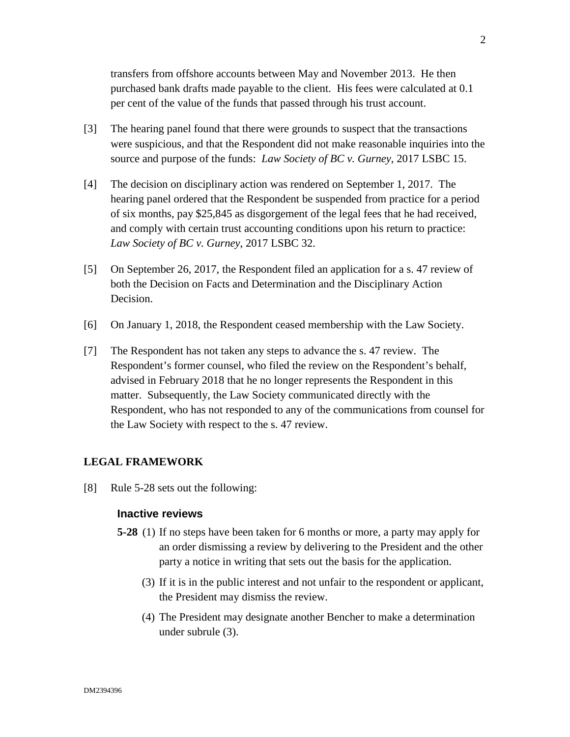transfers from offshore accounts between May and November 2013. He then purchased bank drafts made payable to the client. His fees were calculated at 0.1 per cent of the value of the funds that passed through his trust account.

- [3] The hearing panel found that there were grounds to suspect that the transactions were suspicious, and that the Respondent did not make reasonable inquiries into the source and purpose of the funds: *Law Society of BC v. Gurney*, 2017 LSBC 15.
- [4] The decision on disciplinary action was rendered on September 1, 2017. The hearing panel ordered that the Respondent be suspended from practice for a period of six months, pay \$25,845 as disgorgement of the legal fees that he had received, and comply with certain trust accounting conditions upon his return to practice: *Law Society of BC v. Gurney*, 2017 LSBC 32.
- [5] On September 26, 2017, the Respondent filed an application for a s. 47 review of both the Decision on Facts and Determination and the Disciplinary Action Decision.
- [6] On January 1, 2018, the Respondent ceased membership with the Law Society.
- [7] The Respondent has not taken any steps to advance the s. 47 review. The Respondent's former counsel, who filed the review on the Respondent's behalf, advised in February 2018 that he no longer represents the Respondent in this matter. Subsequently, the Law Society communicated directly with the Respondent, who has not responded to any of the communications from counsel for the Law Society with respect to the s. 47 review.

### **LEGAL FRAMEWORK**

[8] Rule 5-28 sets out the following:

#### **Inactive reviews**

- **5-28** (1) If no steps have been taken for 6 months or more, a party may apply for an order dismissing a review by delivering to the President and the other party a notice in writing that sets out the basis for the application.
	- (3) If it is in the public interest and not unfair to the respondent or applicant, the President may dismiss the review.
	- (4) The President may designate another Bencher to make a determination under subrule (3).